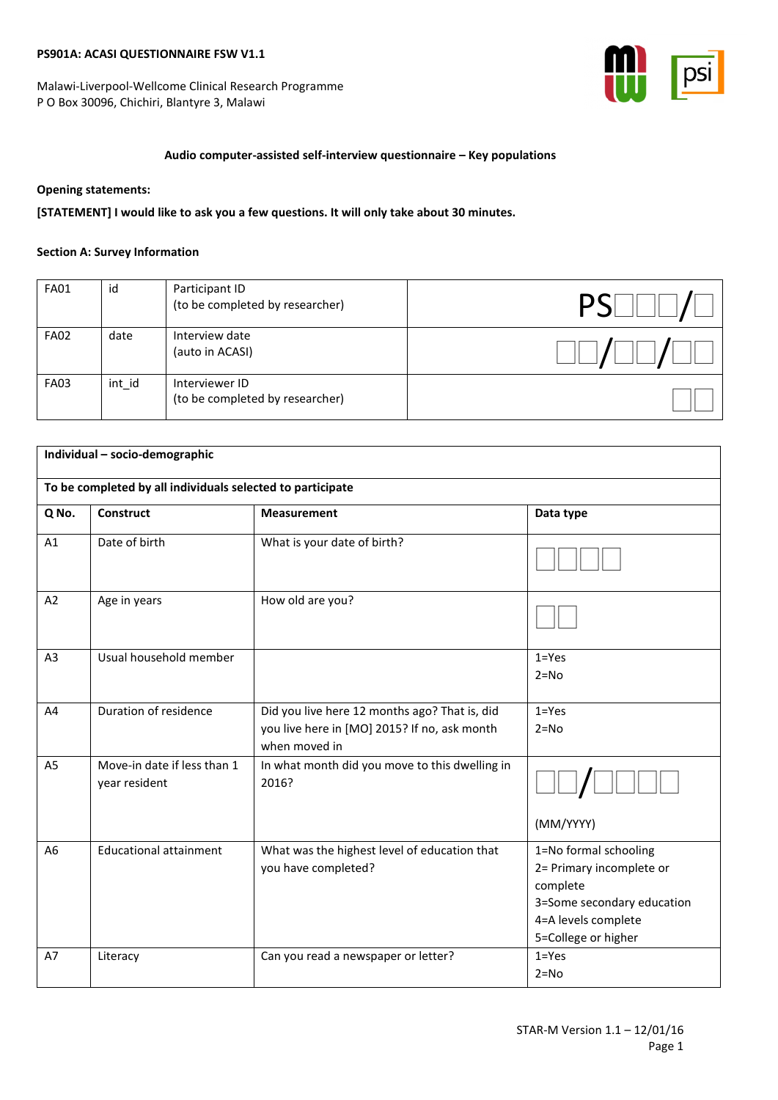Malawi-Liverpool-Wellcome Clinical Research Programme P O Box 30096, Chichiri, Blantyre 3, Malawi



# **Audio computer-assisted self-interview questionnaire – Key populations**

#### **Opening statements:**

**[STATEMENT] I would like to ask you a few questions. It will only take about 30 minutes.**

#### **Section A: Survey Information**

| <b>FA01</b> | id     | Participant ID<br>(to be completed by researcher) |  |
|-------------|--------|---------------------------------------------------|--|
| <b>FA02</b> | date   | Interview date<br>(auto in ACASI)                 |  |
| <b>FA03</b> | int id | Interviewer ID<br>(to be completed by researcher) |  |

| Individual - socio-demographic |                                                            |                                                                                                                |                                                                                                                                           |  |  |
|--------------------------------|------------------------------------------------------------|----------------------------------------------------------------------------------------------------------------|-------------------------------------------------------------------------------------------------------------------------------------------|--|--|
|                                | To be completed by all individuals selected to participate |                                                                                                                |                                                                                                                                           |  |  |
| Q No.                          | <b>Construct</b>                                           | <b>Measurement</b>                                                                                             | Data type                                                                                                                                 |  |  |
| A1                             | Date of birth                                              | What is your date of birth?                                                                                    |                                                                                                                                           |  |  |
| A2                             | Age in years                                               | How old are you?                                                                                               |                                                                                                                                           |  |  |
| A <sub>3</sub>                 | Usual household member                                     |                                                                                                                | $1 = Yes$<br>$2 = No$                                                                                                                     |  |  |
| A4                             | Duration of residence                                      | Did you live here 12 months ago? That is, did<br>you live here in [MO] 2015? If no, ask month<br>when moved in | $1 = Yes$<br>$2 = No$                                                                                                                     |  |  |
| A <sub>5</sub>                 | Move-in date if less than 1<br>year resident               | In what month did you move to this dwelling in<br>2016?                                                        | (MM/YYYY)                                                                                                                                 |  |  |
| A6                             | <b>Educational attainment</b>                              | What was the highest level of education that<br>you have completed?                                            | 1=No formal schooling<br>2= Primary incomplete or<br>complete<br>3=Some secondary education<br>4=A levels complete<br>5=College or higher |  |  |
| A7                             | Literacy                                                   | Can you read a newspaper or letter?                                                                            | $1 = Yes$<br>$2 = No$                                                                                                                     |  |  |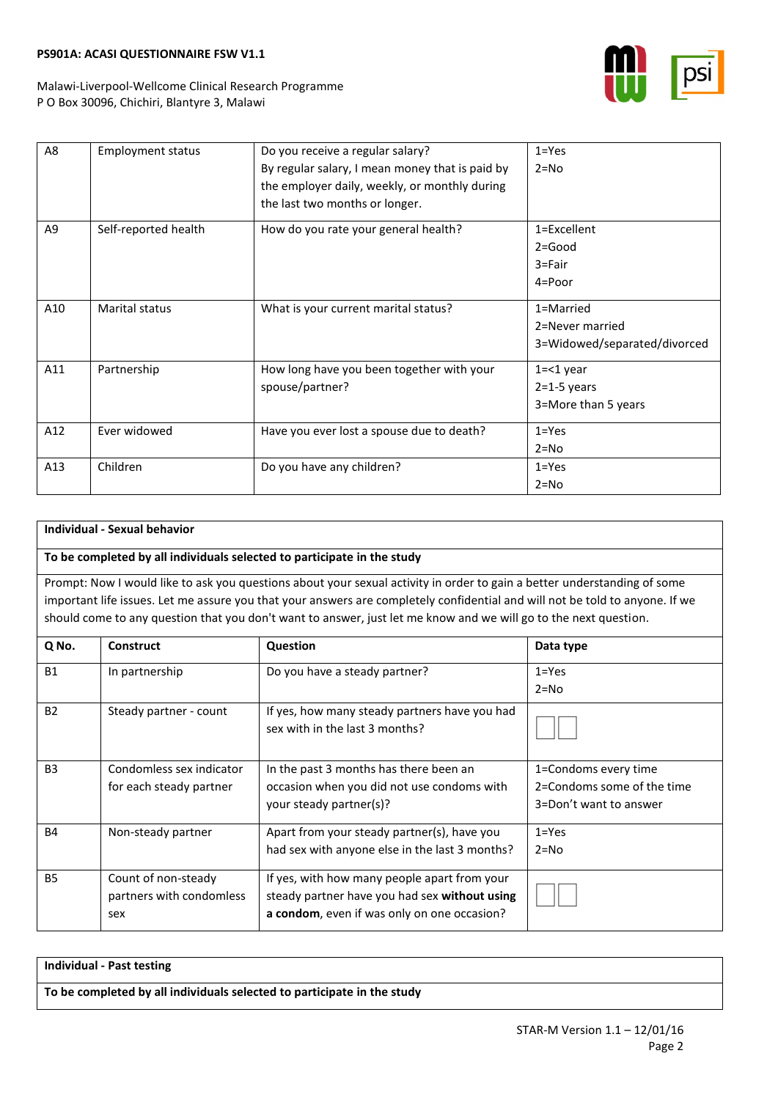

Malawi-Liverpool-Wellcome Clinical Research Programme P O Box 30096, Chichiri, Blantyre 3, Malawi

| A8  | <b>Employment status</b> | Do you receive a regular salary?                | $1 = Yes$                    |
|-----|--------------------------|-------------------------------------------------|------------------------------|
|     |                          | By regular salary, I mean money that is paid by | $2 = No$                     |
|     |                          | the employer daily, weekly, or monthly during   |                              |
|     |                          | the last two months or longer.                  |                              |
| A9  | Self-reported health     | How do you rate your general health?            | 1=Excellent                  |
|     |                          |                                                 | $2 = Good$                   |
|     |                          |                                                 | 3=Fair                       |
|     |                          |                                                 | 4=Poor                       |
| A10 | <b>Marital status</b>    | What is your current marital status?            | 1=Married                    |
|     |                          |                                                 | 2=Never married              |
|     |                          |                                                 | 3=Widowed/separated/divorced |
| A11 | Partnership              | How long have you been together with your       | $1 = 1$ year                 |
|     |                          | spouse/partner?                                 | $2=1-5$ years                |
|     |                          |                                                 | 3=More than 5 years          |
| A12 | Ever widowed             | Have you ever lost a spouse due to death?       | $1 = Yes$                    |
|     |                          |                                                 | $2 = No$                     |
| A13 | Children                 | Do you have any children?                       | $1 = Yes$                    |
|     |                          |                                                 | $2 = No$                     |

# **Individual - Sexual behavior**

#### **To be completed by all individuals selected to participate in the study**

Prompt: Now I would like to ask you questions about your sexual activity in order to gain a better understanding of some important life issues. Let me assure you that your answers are completely confidential and will not be told to anyone. If we should come to any question that you don't want to answer, just let me know and we will go to the next question.

| Q No.          | <b>Construct</b>         | Question                                       | Data type                  |
|----------------|--------------------------|------------------------------------------------|----------------------------|
| <b>B1</b>      | In partnership           | Do you have a steady partner?                  | $1 = Yes$                  |
|                |                          |                                                | $2 = No$                   |
| <b>B2</b>      | Steady partner - count   | If yes, how many steady partners have you had  |                            |
|                |                          | sex with in the last 3 months?                 |                            |
|                |                          |                                                |                            |
| B <sub>3</sub> | Condomless sex indicator | In the past 3 months has there been an         | 1=Condoms every time       |
|                | for each steady partner  | occasion when you did not use condoms with     | 2=Condoms some of the time |
|                |                          | your steady partner(s)?                        | 3=Don't want to answer     |
| <b>B4</b>      | Non-steady partner       | Apart from your steady partner(s), have you    | $1 = Yes$                  |
|                |                          | had sex with anyone else in the last 3 months? | $2 = No$                   |
| <b>B5</b>      | Count of non-steady      | If yes, with how many people apart from your   |                            |
|                | partners with condomless | steady partner have you had sex without using  |                            |
|                | sex                      | a condom, even if was only on one occasion?    |                            |

| Individual - Past testing                                               |
|-------------------------------------------------------------------------|
| To be completed by all individuals selected to participate in the study |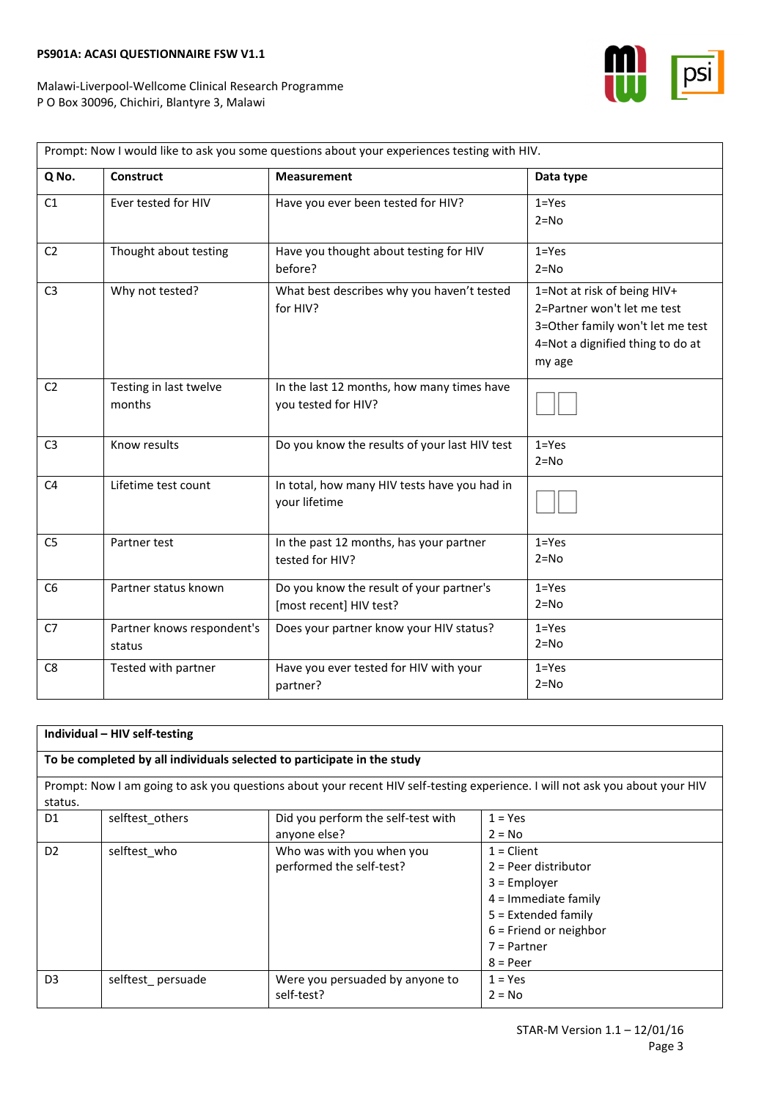

┑

| Prompt: Now I would like to ask you some questions about your experiences testing with HIV. |                                      |                                                                     |                                                                                                                                              |  |
|---------------------------------------------------------------------------------------------|--------------------------------------|---------------------------------------------------------------------|----------------------------------------------------------------------------------------------------------------------------------------------|--|
| Q No.                                                                                       | <b>Construct</b>                     | <b>Measurement</b>                                                  | Data type                                                                                                                                    |  |
| C1                                                                                          | Ever tested for HIV                  | Have you ever been tested for HIV?                                  | $1 = Yes$<br>$2 = No$                                                                                                                        |  |
| C <sub>2</sub>                                                                              | Thought about testing                | Have you thought about testing for HIV<br>before?                   | $1 = Yes$<br>$2 = No$                                                                                                                        |  |
| C <sub>3</sub>                                                                              | Why not tested?                      | What best describes why you haven't tested<br>for HIV?              | 1=Not at risk of being HIV+<br>2=Partner won't let me test<br>3=Other family won't let me test<br>4=Not a dignified thing to do at<br>my age |  |
| C <sub>2</sub>                                                                              | Testing in last twelve<br>months     | In the last 12 months, how many times have<br>you tested for HIV?   |                                                                                                                                              |  |
| C <sub>3</sub>                                                                              | Know results                         | Do you know the results of your last HIV test                       | $1 = Yes$<br>$2 = No$                                                                                                                        |  |
| C <sub>4</sub>                                                                              | Lifetime test count                  | In total, how many HIV tests have you had in<br>your lifetime       |                                                                                                                                              |  |
| C <sub>5</sub>                                                                              | Partner test                         | In the past 12 months, has your partner<br>tested for HIV?          | $1 = Yes$<br>$2 = No$                                                                                                                        |  |
| C <sub>6</sub>                                                                              | Partner status known                 | Do you know the result of your partner's<br>[most recent] HIV test? | $1 = Yes$<br>$2 = No$                                                                                                                        |  |
| C7                                                                                          | Partner knows respondent's<br>status | Does your partner know your HIV status?                             | $1 = Yes$<br>$2 = No$                                                                                                                        |  |
| C8                                                                                          | Tested with partner                  | Have you ever tested for HIV with your<br>partner?                  | $1 = Yes$<br>$2 = No$                                                                                                                        |  |

|                | Individual - HIV self-testing                                           |                                                       |                                                                                                                                                                        |  |  |
|----------------|-------------------------------------------------------------------------|-------------------------------------------------------|------------------------------------------------------------------------------------------------------------------------------------------------------------------------|--|--|
|                | To be completed by all individuals selected to participate in the study |                                                       |                                                                                                                                                                        |  |  |
| status.        |                                                                         |                                                       | Prompt: Now I am going to ask you questions about your recent HIV self-testing experience. I will not ask you about your HIV                                           |  |  |
| D1             | selftest others                                                         | Did you perform the self-test with<br>anyone else?    | $1 = Yes$<br>$2 = No$                                                                                                                                                  |  |  |
| D <sub>2</sub> | selftest who                                                            | Who was with you when you<br>performed the self-test? | $1 =$ Client<br>$2 =$ Peer distributor<br>$3 =$ Employer<br>$4 =$ Immediate family<br>$5$ = Extended family<br>$6$ = Friend or neighbor<br>$7$ = Partner<br>$8 = Peer$ |  |  |
| D <sub>3</sub> | selftest_persuade                                                       | Were you persuaded by anyone to<br>self-test?         | $1 = Yes$<br>$2 = No$                                                                                                                                                  |  |  |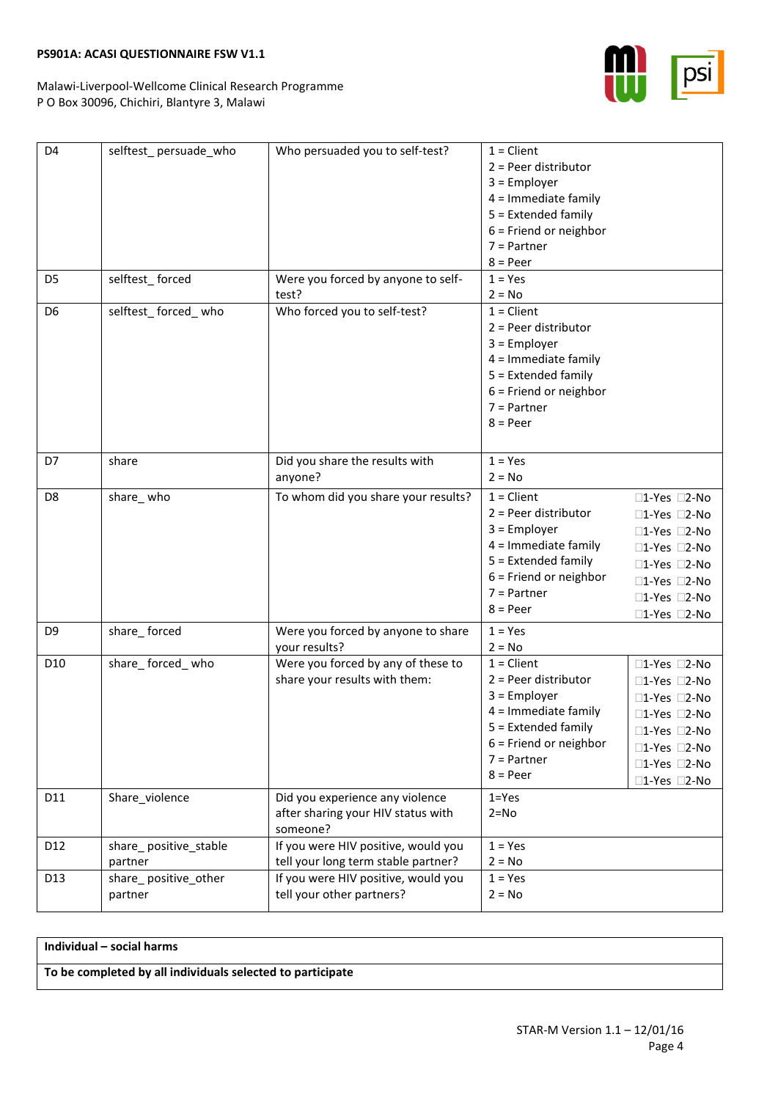Malawi-Liverpool-Wellcome Clinical Research Programme P O Box 30096, Chichiri, Blantyre 3, Malawi

| D <sub>4</sub>  | selftest_persuade_who            | Who persuaded you to self-test?                                                   | $1 =$ Client<br>$2 = Peer$ distributor<br>$3 =$ Employer<br>$4 =$ Immediate family<br>$5 =$ Extended family<br>$6$ = Friend or neighbor<br>$7 =$ Partner<br>$8 = Peer$ |                                                                                                                              |
|-----------------|----------------------------------|-----------------------------------------------------------------------------------|------------------------------------------------------------------------------------------------------------------------------------------------------------------------|------------------------------------------------------------------------------------------------------------------------------|
| D <sub>5</sub>  | selftest_forced                  | Were you forced by anyone to self-<br>test?                                       | $1 = Yes$<br>$2 = No$                                                                                                                                                  |                                                                                                                              |
| D <sub>6</sub>  | selftest forced who              | Who forced you to self-test?                                                      | $1 =$ Client<br>$2 = Peer$ distributor<br>$3 =$ Employer<br>$4 =$ Immediate family<br>$5 =$ Extended family<br>$6$ = Friend or neighbor<br>$7$ = Partner<br>$8 = Peer$ |                                                                                                                              |
| D7              | share                            | Did you share the results with<br>anyone?                                         | $1 = Yes$<br>$2 = No$                                                                                                                                                  |                                                                                                                              |
| D8              | share_who                        | To whom did you share your results?                                               | $1 =$ Client<br>$2 = Peer$ distributor<br>$3 =$ Employer<br>$4 =$ Immediate family<br>$5 =$ Extended family<br>$6$ = Friend or neighbor<br>$7 =$ Partner<br>$8 = Peer$ | □1-Yes □2-No<br>□1-Yes □2-No<br>□1-Yes □2-No<br>□1-Yes □2-No<br>□1-Yes □2-No<br>□1-Yes □2-No<br>□1-Yes □2-No<br>□1-Yes □2-No |
| D <sub>9</sub>  | share_forced                     | Were you forced by anyone to share<br>your results?                               | $1 = Yes$<br>$2 = No$                                                                                                                                                  |                                                                                                                              |
| D <sub>10</sub> | share_forced_who                 | Were you forced by any of these to<br>share your results with them:               | $1 =$ Client<br>$2 = Peer$ distributor<br>$3 =$ Employer<br>$4 =$ Immediate family<br>5 = Extended family<br>$6$ = Friend or neighbor<br>$7$ = Partner<br>$8 = Peer$   | □1-Yes □2-No<br>□1-Yes □2-No<br>□1-Yes □2-No<br>□1-Yes □2-No<br>□1-Yes □2-No<br>□1-Yes □2-No<br>□1-Yes □2-No<br>□1-Yes □2-No |
| D11             | Share_violence                   | Did you experience any violence<br>after sharing your HIV status with<br>someone? | $1 = Yes$<br>$2 = No$                                                                                                                                                  |                                                                                                                              |
| D12             | share_positive_stable<br>partner | If you were HIV positive, would you<br>tell your long term stable partner?        | $1 = Yes$<br>$2 = No$                                                                                                                                                  |                                                                                                                              |
| D13             | share_positive_other<br>partner  | If you were HIV positive, would you<br>tell your other partners?                  | $1 = Yes$<br>$2 = No$                                                                                                                                                  |                                                                                                                              |

**Individual – social harms**

**To be completed by all individuals selected to participate**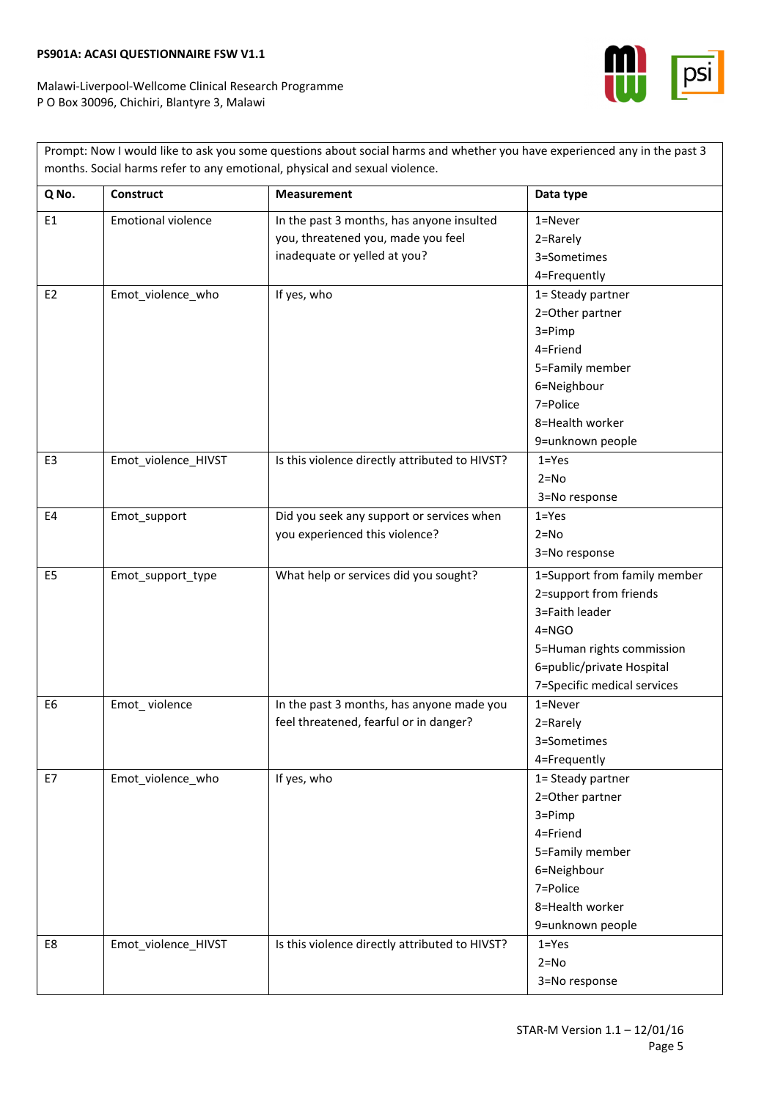

|                |                           | Prompt: Now I would like to ask you some questions about social harms and whether you have experienced any in the past 3<br>months. Social harms refer to any emotional, physical and sexual violence. |                                                                                                                                                                                |
|----------------|---------------------------|--------------------------------------------------------------------------------------------------------------------------------------------------------------------------------------------------------|--------------------------------------------------------------------------------------------------------------------------------------------------------------------------------|
| Q No.          | <b>Construct</b>          | <b>Measurement</b>                                                                                                                                                                                     | Data type                                                                                                                                                                      |
| E <sub>1</sub> | <b>Emotional violence</b> | In the past 3 months, has anyone insulted<br>you, threatened you, made you feel<br>inadequate or yelled at you?                                                                                        | $1 =$ Never<br>2=Rarely<br>3=Sometimes<br>4=Frequently                                                                                                                         |
| E <sub>2</sub> | Emot_violence_who         | If yes, who                                                                                                                                                                                            | 1= Steady partner<br>2=Other partner<br>$3 = Pimp$<br>4=Friend<br>5=Family member<br>6=Neighbour<br>7=Police<br>8=Health worker<br>9=unknown people                            |
| E <sub>3</sub> | Emot_violence_HIVST       | Is this violence directly attributed to HIVST?                                                                                                                                                         | $1 = Yes$<br>$2 = No$<br>3=No response                                                                                                                                         |
| E4             | Emot_support              | Did you seek any support or services when<br>you experienced this violence?                                                                                                                            | $1 = Yes$<br>$2 = No$<br>3=No response                                                                                                                                         |
| E <sub>5</sub> | Emot_support_type         | What help or services did you sought?                                                                                                                                                                  | 1=Support from family member<br>2=support from friends<br>3=Faith leader<br>$4 = NGO$<br>5=Human rights commission<br>6=public/private Hospital<br>7=Specific medical services |
| E <sub>6</sub> | Emot_violence             | In the past 3 months, has anyone made you<br>feel threatened, fearful or in danger?                                                                                                                    | 1=Never<br>2=Rarely<br>3=Sometimes<br>4=Frequently                                                                                                                             |
| E7             | Emot_violence_who         | If yes, who                                                                                                                                                                                            | 1= Steady partner<br>2=Other partner<br>3=Pimp<br>4=Friend<br>5=Family member<br>6=Neighbour<br>7=Police<br>8=Health worker<br>9=unknown people                                |
| E8             | Emot_violence_HIVST       | Is this violence directly attributed to HIVST?                                                                                                                                                         | $1 = Yes$<br>$2 = No$<br>3=No response                                                                                                                                         |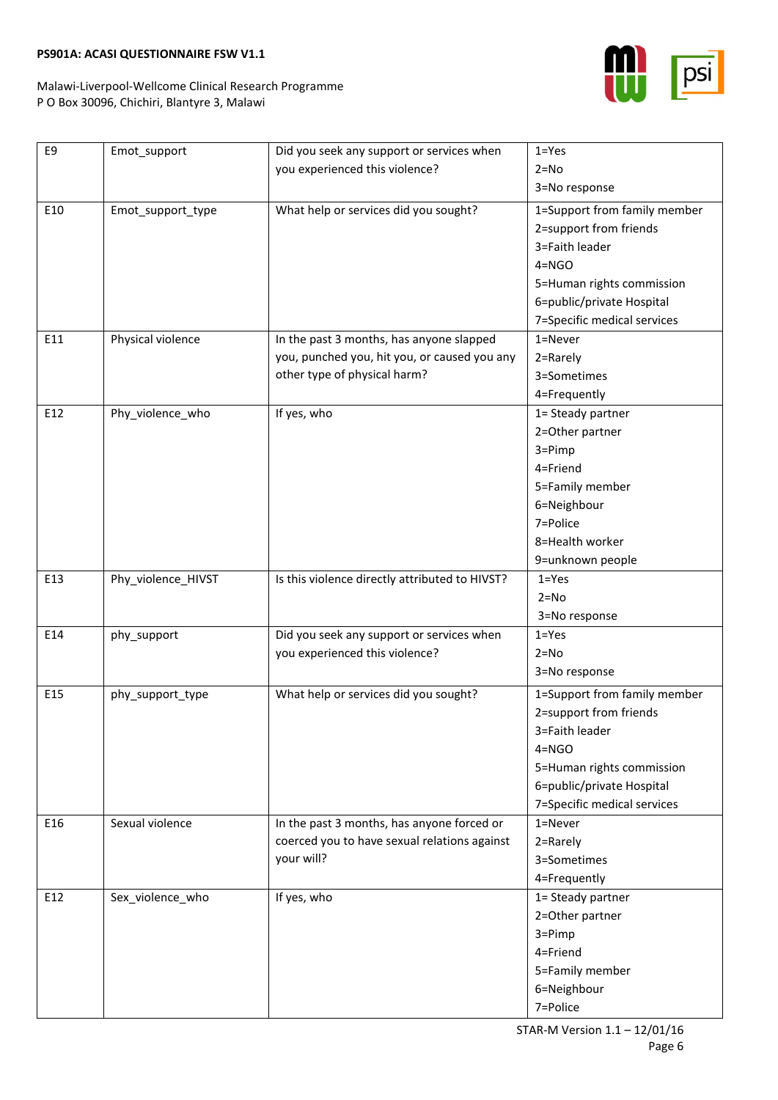

٦

| E9  | Emot_support       | Did you seek any support or services when      | $1 = Yes$                    |
|-----|--------------------|------------------------------------------------|------------------------------|
|     |                    | you experienced this violence?                 | $2 = No$                     |
|     |                    |                                                | 3=No response                |
| E10 | Emot_support_type  | What help or services did you sought?          | 1=Support from family member |
|     |                    |                                                | 2=support from friends       |
|     |                    |                                                | 3=Faith leader               |
|     |                    |                                                | $4 = NGO$                    |
|     |                    |                                                | 5=Human rights commission    |
|     |                    |                                                | 6=public/private Hospital    |
|     |                    |                                                | 7=Specific medical services  |
| E11 | Physical violence  | In the past 3 months, has anyone slapped       | $1 =$ Never                  |
|     |                    | you, punched you, hit you, or caused you any   | 2=Rarely                     |
|     |                    | other type of physical harm?                   | 3=Sometimes                  |
|     |                    |                                                | 4=Frequently                 |
| E12 | Phy_violence_who   | If yes, who                                    | 1= Steady partner            |
|     |                    |                                                | 2=Other partner              |
|     |                    |                                                | 3=Pimp                       |
|     |                    |                                                | 4=Friend                     |
|     |                    |                                                | 5=Family member              |
|     |                    |                                                | 6=Neighbour                  |
|     |                    |                                                | 7=Police                     |
|     |                    |                                                | 8=Health worker              |
|     |                    |                                                | 9=unknown people             |
| E13 | Phy_violence_HIVST | Is this violence directly attributed to HIVST? | $1 = Yes$                    |
|     |                    |                                                | $2 = No$                     |
|     |                    |                                                | 3=No response                |
| E14 | phy_support        | Did you seek any support or services when      | $1 = Yes$                    |
|     |                    | you experienced this violence?                 | $2 = No$                     |
|     |                    |                                                | 3=No response                |
| E15 | phy support type   | What help or services did you sought?          | 1=Support from family member |
|     |                    |                                                | 2=support from friends       |
|     |                    |                                                | 3=Faith leader               |
|     |                    |                                                | $4 = NGO$                    |
|     |                    |                                                | 5=Human rights commission    |
|     |                    |                                                | 6=public/private Hospital    |
|     |                    |                                                | 7=Specific medical services  |
| E16 | Sexual violence    | In the past 3 months, has anyone forced or     | 1=Never                      |
|     |                    | coerced you to have sexual relations against   | 2=Rarely                     |
|     |                    | your will?                                     | 3=Sometimes                  |
|     |                    |                                                | 4=Frequently                 |
| E12 | Sex violence who   | If yes, who                                    | 1= Steady partner            |
|     |                    |                                                | 2=Other partner              |
|     |                    |                                                | 3=Pimp                       |
|     |                    |                                                | 4=Friend                     |
|     |                    |                                                |                              |
|     |                    |                                                | 5=Family member              |
|     |                    |                                                | 6=Neighbour                  |
|     |                    |                                                | 7=Police                     |